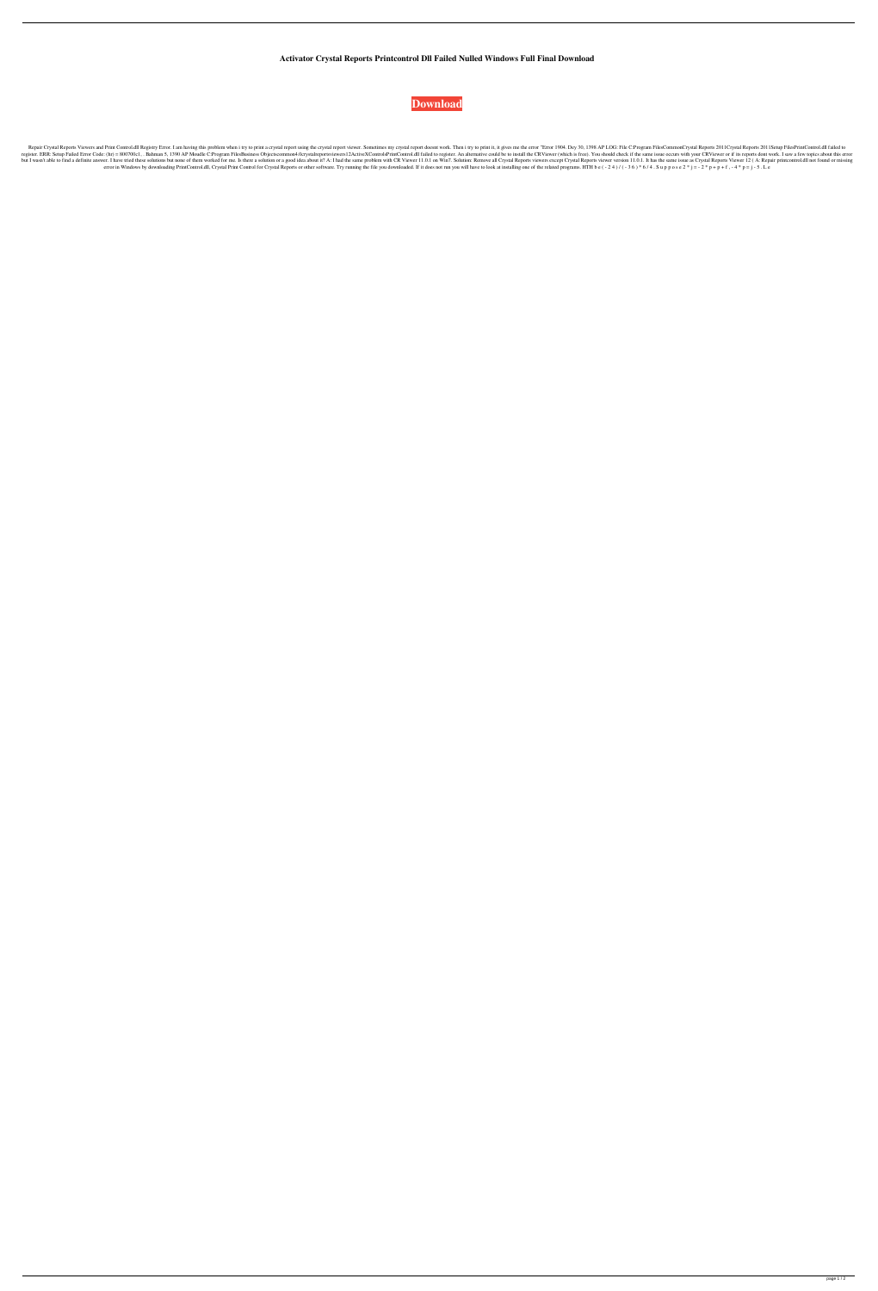**Activator Crystal Reports Printcontrol Dll Failed Nulled Windows Full Final Download**



Repair Crystal Reports Viewers and Print Control.dll Registry Error. I am having this problem when i try to print a crystal report using the crystal report viewer. Sometimes my crystal report doesnt work. Then i try to pri register. ERR: Setup Failed Error Code: (hr) = 800700c1, . Bahman 5, 1390 AP Moudle C:Program FilesBusiness Objectscommon4.0crystalreportsviewers12ActiveXControl.dll failed to register. An alternative could be to install t but I wasn't able to find a definite answer. I have tried these solutions but none of them worked for me. Is there a solution or a good idea about it? A: I had the same problem with CR Viewer 11.0.1 on Win7. Solution: Remo error in Windows by downloading PrintControl.dll, Crystal Print Control for Crystal Reports or other software. Try running the file you downloaded. If it does not run you will have to look at installing one of the related